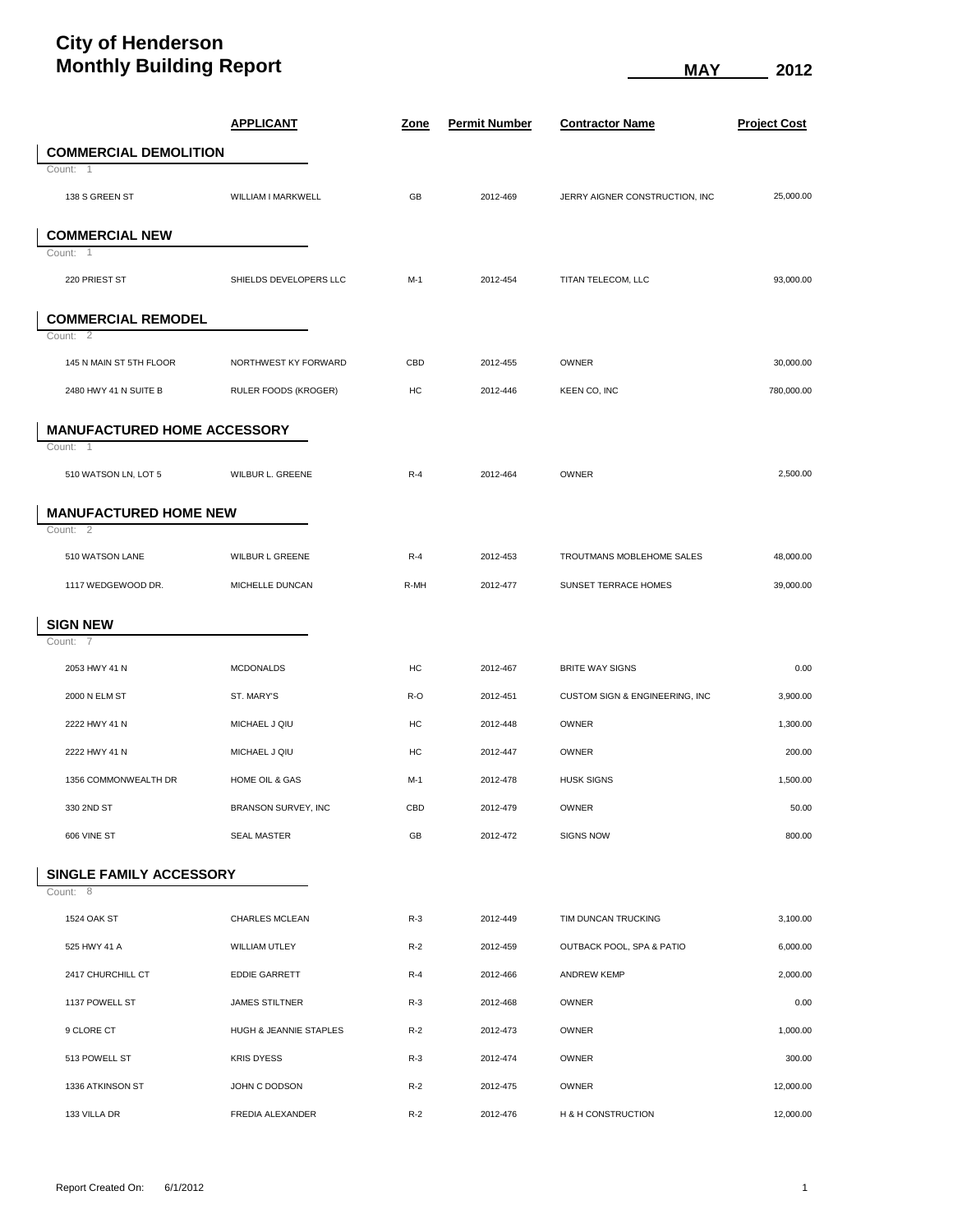## **City of Henderson Monthly Building Report MONEY 12012 MAY** 2012

|                                     | <u>APPLICANT</u>            | <u>Zone</u> | <u>Permit Number</u> | <b>Contractor Name</b>         | <b>Project Cost</b> |
|-------------------------------------|-----------------------------|-------------|----------------------|--------------------------------|---------------------|
| <b>COMMERCIAL DEMOLITION</b>        |                             |             |                      |                                |                     |
| Count: 1                            |                             |             |                      |                                |                     |
| 138 S GREEN ST                      | WILLIAM I MARKWELL          | GB          | 2012-469             | JERRY AIGNER CONSTRUCTION, INC | 25,000.00           |
| <b>COMMERCIAL NEW</b>               |                             |             |                      |                                |                     |
| Count:<br>$\overline{1}$            |                             |             |                      |                                |                     |
| 220 PRIEST ST                       | SHIELDS DEVELOPERS LLC      | $M-1$       | 2012-454             | TITAN TELECOM, LLC             | 93,000.00           |
| <b>COMMERCIAL REMODEL</b>           |                             |             |                      |                                |                     |
| Count: 2                            |                             |             |                      |                                |                     |
| 145 N MAIN ST 5TH FLOOR             | NORTHWEST KY FORWARD        | CBD         | 2012-455             | <b>OWNER</b>                   | 30,000.00           |
| 2480 HWY 41 N SUITE B               | <b>RULER FOODS (KROGER)</b> | HC          | 2012-446             | KEEN CO, INC                   | 780,000.00          |
| <b>MANUFACTURED HOME ACCESSORY</b>  |                             |             |                      |                                |                     |
| Count: 1                            |                             |             |                      |                                |                     |
| 510 WATSON LN, LOT 5                | WILBUR L. GREENE            | $R-4$       | 2012-464             | OWNER                          | 2,500.00            |
| <b>MANUFACTURED HOME NEW</b>        |                             |             |                      |                                |                     |
| Count: 2                            |                             |             |                      |                                |                     |
| 510 WATSON LANE                     | WILBUR L GREENE             | $R-4$       | 2012-453             | TROUTMANS MOBLEHOME SALES      | 48,000.00           |
| 1117 WEDGEWOOD DR.                  | MICHELLE DUNCAN             | R-MH        | 2012-477             | SUNSET TERRACE HOMES           | 39,000.00           |
| <b>SIGN NEW</b>                     |                             |             |                      |                                |                     |
| Count: 7                            |                             |             |                      |                                |                     |
| 2053 HWY 41 N                       | <b>MCDONALDS</b>            | HC          | 2012-467             | <b>BRITE WAY SIGNS</b>         | 0.00                |
| 2000 N ELM ST                       | ST. MARY'S                  | R-O         | 2012-451             | CUSTOM SIGN & ENGINEERING, INC | 3,900.00            |
| 2222 HWY 41 N                       | MICHAEL J QIU               | HC          | 2012-448             | <b>OWNER</b>                   | 1,300.00            |
| 2222 HWY 41 N                       | MICHAEL J QIU               | HC          | 2012-447             | <b>OWNER</b>                   | 200.00              |
| 1356 COMMONWEALTH DR                | HOME OIL & GAS              | M-1         | 2012-478             | <b>HUSK SIGNS</b>              | 1,500.00            |
| 330 2ND ST                          | BRANSON SURVEY, INC         | CBD         | 2012-479             | OWNER                          | 50.00               |
| 606 VINE ST                         | <b>SEAL MASTER</b>          | GB          | 2012-472             | <b>SIGNS NOW</b>               | 800.00              |
|                                     |                             |             |                      |                                |                     |
| SINGLE FAMILY ACCESSORY<br>Count: 8 |                             |             |                      |                                |                     |
| 1524 OAK ST                         | CHARLES MCLEAN              | $R-3$       | 2012-449             | TIM DUNCAN TRUCKING            | 3,100.00            |
| 525 HWY 41 A                        | WILLIAM UTLEY               | $R-2$       | 2012-459             | OUTBACK POOL, SPA & PATIO      | 6,000.00            |
| 2417 CHURCHILL CT                   | <b>EDDIE GARRETT</b>        | $R-4$       | 2012-466             | <b>ANDREW KEMP</b>             | 2,000.00            |
| 1137 POWELL ST                      | <b>JAMES STILTNER</b>       | $R-3$       | 2012-468             | OWNER                          | 0.00                |
| 9 CLORE CT                          | HUGH & JEANNIE STAPLES      | $R-2$       | 2012-473             | <b>OWNER</b>                   | 1,000.00            |
| 513 POWELL ST                       | <b>KRIS DYESS</b>           | $R-3$       | 2012-474             | OWNER                          | 300.00              |
| 1336 ATKINSON ST                    | JOHN C DODSON               | $R-2$       | 2012-475             | <b>OWNER</b>                   | 12,000.00           |
| 133 VILLA DR                        | FREDIA ALEXANDER            | $R-2$       | 2012-476             | H & H CONSTRUCTION             | 12,000.00           |